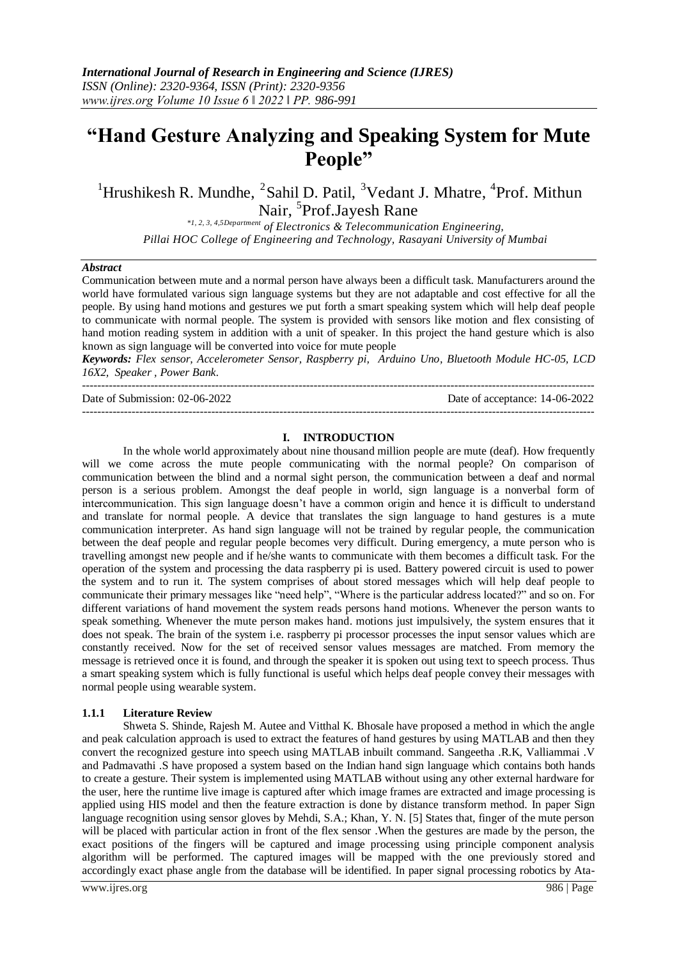# **"Hand Gesture Analyzing and Speaking System for Mute People"**

<sup>1</sup>Hrushikesh R. Mundhe, <sup>2</sup>Sahil D. Patil, <sup>3</sup>Vedant J. Mhatre, <sup>4</sup>Prof. Mithun Nair, <sup>5</sup>Prof.Jayesh Rane

*\*1, 2, 3, 4,5Department of Electronics & Telecommunication Engineering, Pillai HOC College of Engineering and Technology, Rasayani University of Mumbai*

#### *Abstract*

Communication between mute and a normal person have always been a difficult task. Manufacturers around the world have formulated various sign language systems but they are not adaptable and cost effective for all the people. By using hand motions and gestures we put forth a smart speaking system which will help deaf people to communicate with normal people. The system is provided with sensors like motion and flex consisting of hand motion reading system in addition with a unit of speaker. In this project the hand gesture which is also known as sign language will be converted into voice for mute people

*Keywords: Flex sensor, Accelerometer Sensor, Raspberry pi, Arduino Uno, Bluetooth Module HC-05, LCD 16X2, Speaker , Power Bank.* 

--------------------------------------------------------------------------------------------------------------------------------------- Date of Submission: 02-06-2022 Date of acceptance: 14-06-2022

---------------------------------------------------------------------------------------------------------------------------------------

#### **I. INTRODUCTION**

In the whole world approximately about nine thousand million people are mute (deaf). How frequently will we come across the mute people communicating with the normal people? On comparison of communication between the blind and a normal sight person, the communication between a deaf and normal person is a serious problem. Amongst the deaf people in world, sign language is a nonverbal form of intercommunication. This sign language doesn't have a common origin and hence it is difficult to understand and translate for normal people. A device that translates the sign language to hand gestures is a mute communication interpreter. As hand sign language will not be trained by regular people, the communication between the deaf people and regular people becomes very difficult. During emergency, a mute person who is travelling amongst new people and if he/she wants to communicate with them becomes a difficult task. For the operation of the system and processing the data raspberry pi is used. Battery powered circuit is used to power the system and to run it. The system comprises of about stored messages which will help deaf people to communicate their primary messages like "need help", "Where is the particular address located?" and so on. For different variations of hand movement the system reads persons hand motions. Whenever the person wants to speak something. Whenever the mute person makes hand. motions just impulsively, the system ensures that it does not speak. The brain of the system i.e. raspberry pi processor processes the input sensor values which are constantly received. Now for the set of received sensor values messages are matched. From memory the message is retrieved once it is found, and through the speaker it is spoken out using text to speech process. Thus a smart speaking system which is fully functional is useful which helps deaf people convey their messages with normal people using wearable system.

#### **1.1.1 Literature Review**

Shweta S. Shinde, Rajesh M. Autee and Vitthal K. Bhosale have proposed a method in which the angle and peak calculation approach is used to extract the features of hand gestures by using MATLAB and then they convert the recognized gesture into speech using MATLAB inbuilt command. Sangeetha .R.K, Valliammai .V and Padmavathi .S have proposed a system based on the Indian hand sign language which contains both hands to create a gesture. Their system is implemented using MATLAB without using any other external hardware for the user, here the runtime live image is captured after which image frames are extracted and image processing is applied using HIS model and then the feature extraction is done by distance transform method. In paper Sign language recognition using sensor gloves by Mehdi, S.A.; Khan, Y. N. [5] States that, finger of the mute person will be placed with particular action in front of the flex sensor .When the gestures are made by the person, the exact positions of the fingers will be captured and image processing using principle component analysis algorithm will be performed. The captured images will be mapped with the one previously stored and accordingly exact phase angle from the database will be identified. In paper signal processing robotics by Ata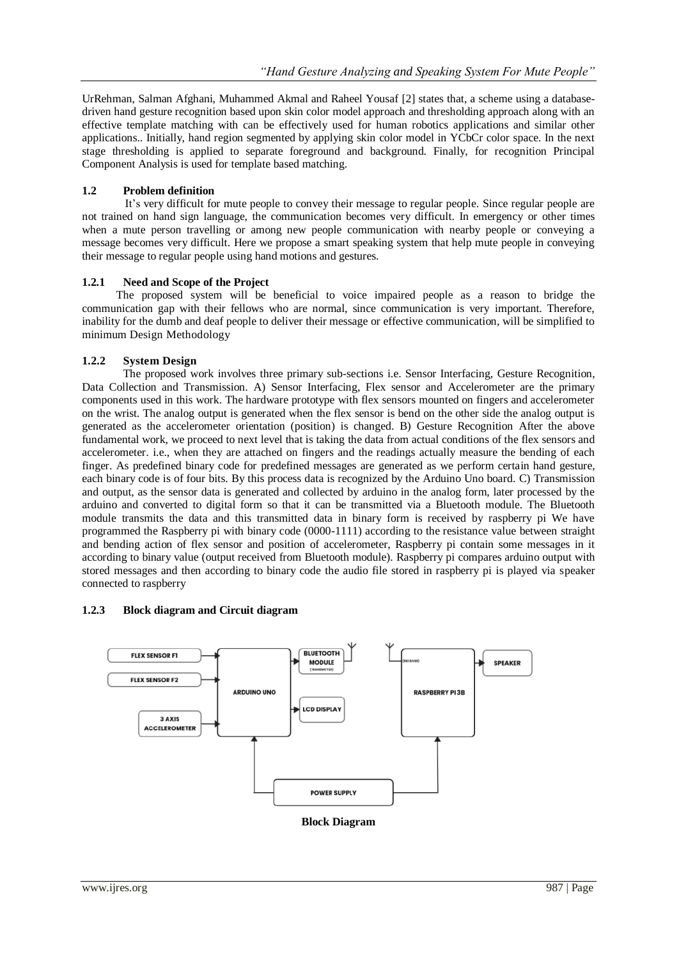UrRehman, Salman Afghani, Muhammed Akmal and Raheel Yousaf [2] states that, a scheme using a databasedriven hand gesture recognition based upon skin color model approach and thresholding approach along with an effective template matching with can be effectively used for human robotics applications and similar other applications.. Initially, hand region segmented by applying skin color model in YCbCr color space. In the next stage thresholding is applied to separate foreground and background. Finally, for recognition Principal Component Analysis is used for template based matching.

## **1.2 Problem definition**

 It's very difficult for mute people to convey their message to regular people. Since regular people are not trained on hand sign language, the communication becomes very difficult. In emergency or other times when a mute person travelling or among new people communication with nearby people or conveying a message becomes very difficult. Here we propose a smart speaking system that help mute people in conveying their message to regular people using hand motions and gestures.

## **1.2.1 Need and Scope of the Project**

The proposed system will be beneficial to voice impaired people as a reason to bridge the communication gap with their fellows who are normal, since communication is very important. Therefore, inability for the dumb and deaf people to deliver their message or effective communication, will be simplified to minimum Design Methodology

## **1.2.2 System Design**

The proposed work involves three primary sub-sections i.e. Sensor Interfacing, Gesture Recognition, Data Collection and Transmission. A) Sensor Interfacing, Flex sensor and Accelerometer are the primary components used in this work. The hardware prototype with flex sensors mounted on fingers and accelerometer on the wrist. The analog output is generated when the flex sensor is bend on the other side the analog output is generated as the accelerometer orientation (position) is changed. B) Gesture Recognition After the above fundamental work, we proceed to next level that is taking the data from actual conditions of the flex sensors and accelerometer. i.e., when they are attached on fingers and the readings actually measure the bending of each finger. As predefined binary code for predefined messages are generated as we perform certain hand gesture, each binary code is of four bits. By this process data is recognized by the Arduino Uno board. C) Transmission and output, as the sensor data is generated and collected by arduino in the analog form, later processed by the arduino and converted to digital form so that it can be transmitted via a Bluetooth module. The Bluetooth module transmits the data and this transmitted data in binary form is received by raspberry pi We have programmed the Raspberry pi with binary code (0000-1111) according to the resistance value between straight and bending action of flex sensor and position of accelerometer, Raspberry pi contain some messages in it according to binary value (output received from Bluetooth module). Raspberry pi compares arduino output with stored messages and then according to binary code the audio file stored in raspberry pi is played via speaker connected to raspberry

## **1.2.3 Block diagram and Circuit diagram**



**Block Diagram**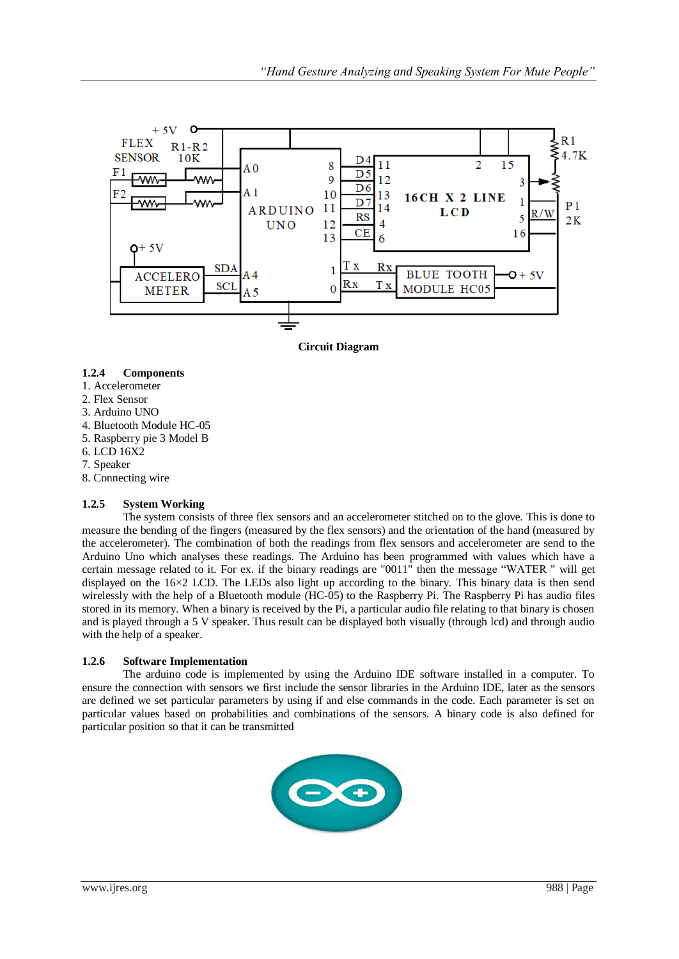

**Circuit Diagram**

## **1.2.4 Components**

- 1. Accelerometer
- 2. Flex Sensor
- 3. Arduino UNO
- 4. Bluetooth Module HC-05
- 5. Raspberry pie 3 Model B
- 6. LCD 16X2
- 7. Speaker
- 8. Connecting wire

## **1.2.5 System Working**

The system consists of three flex sensors and an accelerometer stitched on to the glove. This is done to measure the bending of the fingers (measured by the flex sensors) and the orientation of the hand (measured by the accelerometer). The combination of both the readings from flex sensors and accelerometer are send to the Arduino Uno which analyses these readings. The Arduino has been programmed with values which have a certain message related to it. For ex. if the binary readings are "0011" then the message "WATER " will get displayed on the 16×2 LCD. The LEDs also light up according to the binary. This binary data is then send wirelessly with the help of a Bluetooth module (HC-05) to the Raspberry Pi. The Raspberry Pi has audio files stored in its memory. When a binary is received by the Pi, a particular audio file relating to that binary is chosen and is played through a 5 V speaker. Thus result can be displayed both visually (through lcd) and through audio with the help of a speaker.

## **1.2.6 Software Implementation**

The arduino code is implemented by using the Arduino IDE software installed in a computer. To ensure the connection with sensors we first include the sensor libraries in the Arduino IDE, later as the sensors are defined we set particular parameters by using if and else commands in the code. Each parameter is set on particular values based on probabilities and combinations of the sensors. A binary code is also defined for particular position so that it can be transmitted

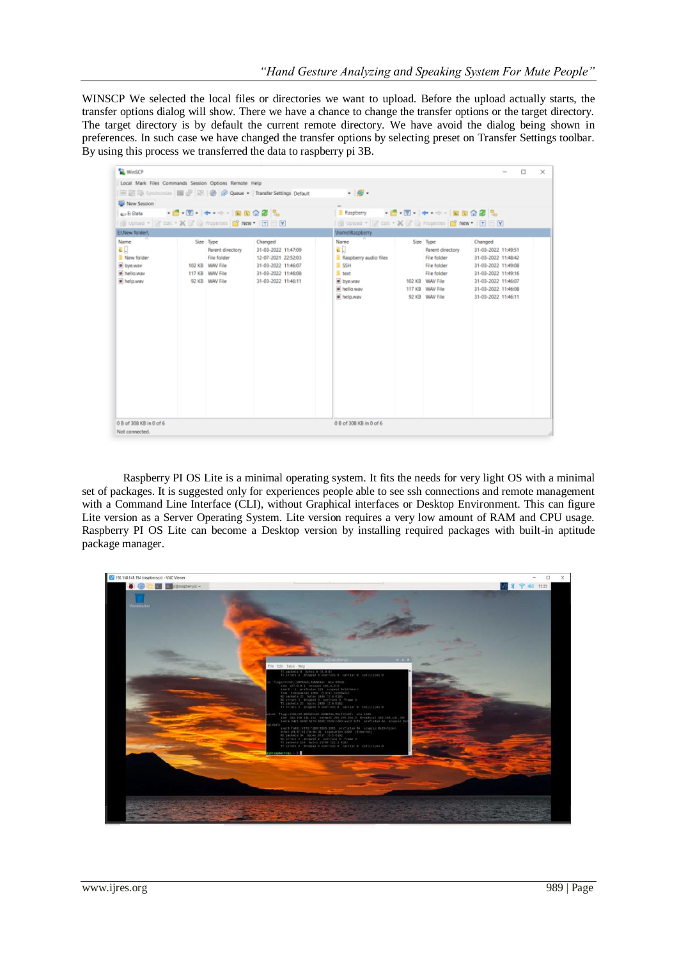WINSCP We selected the local files or directories we want to upload. Before the upload actually starts, the transfer options dialog will show. There we have a chance to change the transfer options or the target directory. The target directory is by default the current remote directory. We have avoid the dialog being shown in preferences. In such case we have changed the transfer options by selecting preset on Transfer Settings toolbar. By using this process we transferred the data to raspberry pi 3B.

| <b>WinSCP</b>                                                                    |  |                                                                                                      |                                                                                                                            |                                                                                                            |                             |                                                                                                                                           | $\sim$                                                                                                                                                                   | o | $\times$ |  |
|----------------------------------------------------------------------------------|--|------------------------------------------------------------------------------------------------------|----------------------------------------------------------------------------------------------------------------------------|------------------------------------------------------------------------------------------------------------|-----------------------------|-------------------------------------------------------------------------------------------------------------------------------------------|--------------------------------------------------------------------------------------------------------------------------------------------------------------------------|---|----------|--|
| Local Mark Files Commands Session Options Remote Help                            |  |                                                                                                      |                                                                                                                            |                                                                                                            |                             |                                                                                                                                           |                                                                                                                                                                          |   |          |  |
|                                                                                  |  |                                                                                                      | 图图 Synchronize 图 图 图 @ Queue ·   Transfer Settings Default                                                                 | $\cdot$ $\circ$                                                                                            |                             |                                                                                                                                           |                                                                                                                                                                          |   |          |  |
| New Session                                                                      |  |                                                                                                      |                                                                                                                            |                                                                                                            |                             |                                                                                                                                           |                                                                                                                                                                          |   |          |  |
| - 白 图 - 十 一 - - 回向令部長<br>sa El Data                                              |  |                                                                                                      |                                                                                                                            | <b>Raspherry</b>                                                                                           | - 큰 코 - (+ - - - ) b b 수경 및 |                                                                                                                                           |                                                                                                                                                                          |   |          |  |
| <b>B</b> Upload * <b>F</b> Edit * X <b>F</b> Q Properties <b>C New * I + E Y</b> |  |                                                                                                      |                                                                                                                            | I BE Upload - Fig Edit - X BF B) Properties C New - I + E V                                                |                             |                                                                                                                                           |                                                                                                                                                                          |   |          |  |
| ENNew folder\                                                                    |  |                                                                                                      |                                                                                                                            | \home\Raspberry                                                                                            |                             |                                                                                                                                           |                                                                                                                                                                          |   |          |  |
| Name<br>리<br>New folder<br>· bye.wav<br>· hello way<br>· help.way                |  | Size Type<br>Parent directory<br>File folder<br>102 KB WAV File<br>117 KB WAV File<br>92 KB WAV File | Changed<br>31-03-2022 11:47:09<br>12-07-2021 22:52:03<br>31-03-2022 11:46:07<br>31-03-2022 11:46:08<br>31-03-2022 11:46:11 | Name<br>리다<br>Raspberry audio files<br>$R$ SSH<br><b>II</b> text<br>· bye.wav<br>· hello.way<br>· help.way |                             | Size Type<br>Parent directory<br>File folder<br><b>File folder</b><br>File folder<br>102 KB WAV File<br>117 KB WAV File<br>92 KB WAV File | Changed<br>31-03-2022 11:49:51<br>31-03-2022 11:48:42<br>31-03-2022 11:49:08<br>31-03-2022 11:49:16<br>31-03-2022 11:46:07<br>31-03-2022 11:46:08<br>31-03-2022 11:46:11 |   |          |  |
| 0 B of 308 KB in 0 of 6<br>Not connected.                                        |  |                                                                                                      |                                                                                                                            | 0 B of 308 KB in 0 of 6                                                                                    |                             |                                                                                                                                           |                                                                                                                                                                          |   |          |  |

Raspberry PI OS Lite is a minimal operating system. It fits the needs for very light OS with a minimal set of packages. It is suggested only for experiences people able to see ssh connections and remote management with a Command Line Interface (CLI), without Graphical interfaces or Desktop Environment. This can figure Lite version as a Server Operating System. Lite version requires a very low amount of RAM and CPU usage. Raspberry PI OS Lite can become a Desktop version by installing required packages with built-in aptitude package manager.

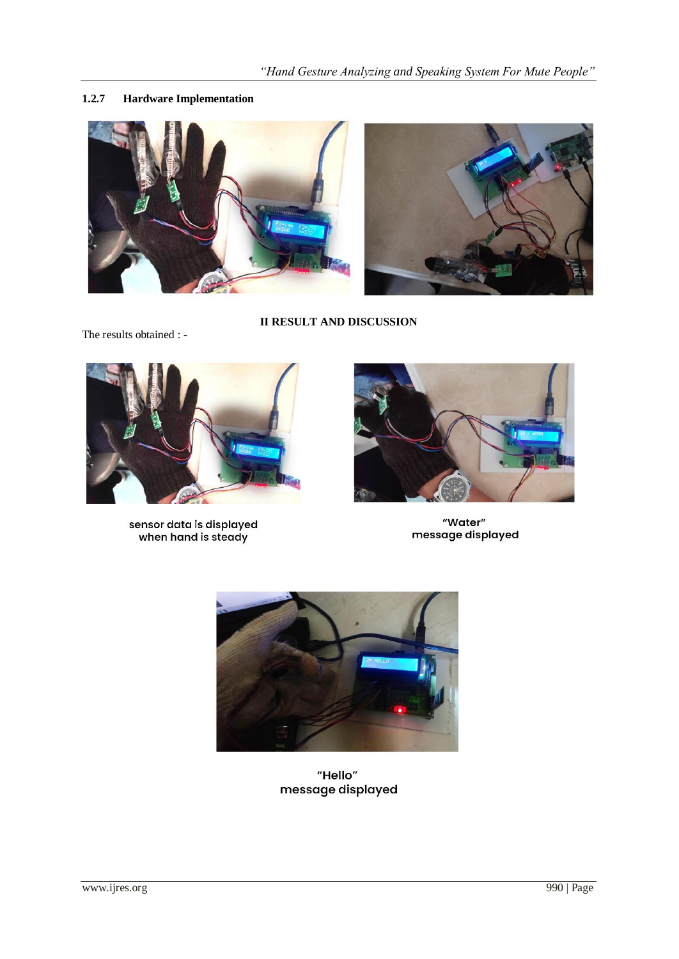# **1.2.7 Hardware Implementation**





**II RESULT AND DISCUSSION**

The results obtained : -



sensor data is displayed<br>when hand is steady



"Water" message displayed



"Hello" message displayed